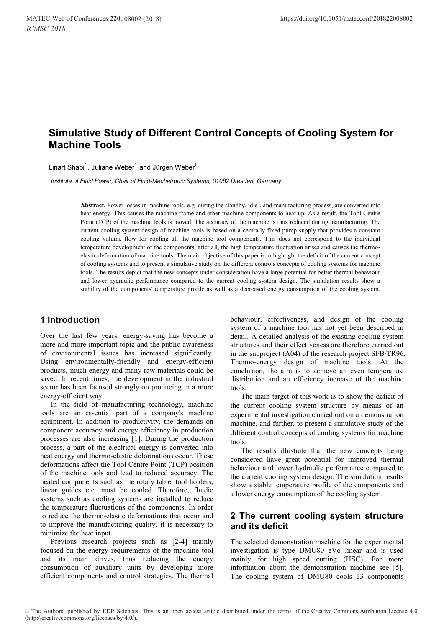# **Simulative Study of Different Control Concepts of Cooling System for Machine Tools**

Linart Shabi<sup>1</sup>, Juliane Weber<sup>1</sup> and Jürgen Weber<sup>1</sup>

*1 Institute of Fluid Power, Chair of Fluid-Mechatronic Systems, 01062 Dresden, Germany* 

**Abstract.** Power losses in machine tools, e.g. during the standby, idle-, and manufacturing process, are converted into heat energy. This causes the machine frame and other machine components to heat up. As a result, the Tool Centre Point (TCP) of the machine tools is moved. The accuracy of the machine is thus reduced during manufacturing. The current cooling system design of machine tools is based on a centrally fixed pump supply that provides a constant cooling volume flow for cooling all the machine tool components. This does not correspond to the individual temperature development of the components, after all, the high temperature fluctuation arises and causes the thermoelastic deformation of machine tools. The main objective of this paper is to highlight the deficit of the current concept of cooling systems and to present a simulative study on the different controls concepts of cooling systems for machine tools. The results depict that the new concepts under consideration have a large potential for better thermal behaviour and lower hydraulic performance compared to the current cooling system design. The simulation results show a stability of the components' temperature profile as well as a decreased energy consumption of the cooling system.

# **1 Introduction**

Over the last few years, energy-saving has become a more and more important topic and the public awareness of environmental issues has increased significantly. Using environmentally-friendly and energy-efficient products, much energy and many raw materials could be saved. In recent times, the development in the industrial sector has been focused strongly on producing in a more energy-efficient way.

In the field of manufacturing technology, machine tools are an essential part of a company's machine equipment. In addition to productivity, the demands on component accuracy and energy efficiency in production processes are also increasing [1]. During the production process, a part of the electrical energy is converted into heat energy and thermo-elastic deformations occur. These deformations affect the Tool Centre Point (TCP) position of the machine tools and lead to reduced accuracy. The heated components such as the rotary table, tool holders, linear guides etc. must be cooled. Therefore, fluidic systems such as cooling systems are installed to reduce the temperature fluctuations of the components. In order to reduce the thermo-elastic deformations that occur and to improve the manufacturing quality, it is necessary to minimize the heat input.

Previous research projects such as [2-4] mainly focused on the energy requirements of the machine tool and its main drives, thus reducing the energy consumption of auxiliary units by developing more efficient components and control strategies. The thermal behaviour, effectiveness, and design of the cooling system of a machine tool has not yet been described in detail. A detailed analysis of the existing cooling system structures and their effectiveness are therefore carried out in the subproject (A04) of the research project SFB/TR96, Thermo-energy design of machine tools. At the conclusion, the aim is to achieve an even temperature distribution and an efficiency increase of the machine tools.

The main target of this work is to show the deficit of the current cooling system structure by means of an experimental investigation carried out on a demonstration machine, and further, to present a simulative study of the different control concepts of cooling systems for machine tools.

The results illustrate that the new concepts being considered have great potential for improved thermal behaviour and lower hydraulic performance compared to the current cooling system design. The simulation results show a stable temperature profile of the components and a lower energy consumption of the cooling system.

# **2 The current cooling system structure and its deficit**

The selected demonstration machine for the experimental investigation is type DMU80 eVo linear and is used mainly for high speed cutting (HSC). For more information about the demonstration machine see [5]. The cooling system of DMU80 cools 13 components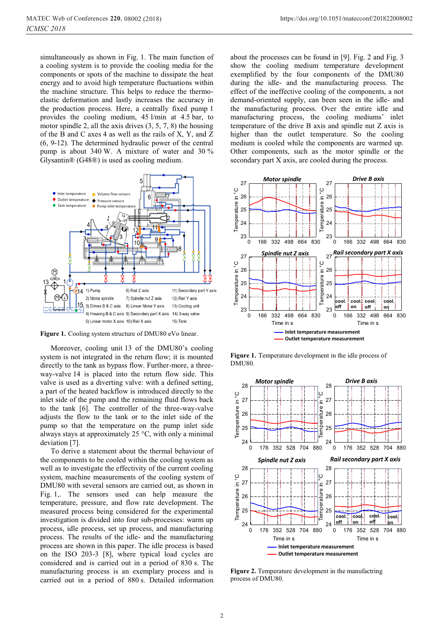simultaneously as shown in Fig. 1. The main function of a cooling system is to provide the cooling media for the components or spots of the machine to dissipate the heat energy and to avoid high temperature fluctuations within the machine structure. This helps to reduce the thermoelastic deformation and lastly increases the accuracy in the production process. Here, a centrally fixed pump 1 provides the cooling medium, 45 l/min at 4.5 bar, to motor spindle 2, all the axis drives (3, 5, 7, 8) the housing of the B and C axes 4 as well as the rails of X, Y, and Z (6, 9-12). The determined hydraulic power of the central pump is about 340 W. A mixture of water and 30 % Glysantin® (G48®) is used as cooling medium.



Figure 1. Cooling system structure of DMU80 eVo linear.

Moreover, cooling unit 13 of the DMU80's cooling system is not integrated in the return flow; it is mounted directly to the tank as bypass flow. Further-more, a threeway-valve 14 is placed into the return flow side. This valve is used as a diverting valve: with a defined setting, a part of the heated backflow is introduced directly to the inlet side of the pump and the remaining fluid flows back to the tank [6]. The controller of the three-way-valve adjusts the flow to the tank or to the inlet side of the pump so that the temperature on the pump inlet side always stays at approximately 25 °C, with only a minimal deviation [7].

To derive a statement about the thermal behaviour of the components to be cooled within the cooling system as well as to investigate the effectivity of the current cooling system, machine measurements of the cooling system of DMU80 with several sensors are carried out, as shown in Fig. 1,. The sensors used can help measure the temperature, pressure, and flow rate development. The measured process being considered for the experimental investigation is divided into four sub-processes: warm up process, idle process, set up process, and manufacturing process. The results of the idle- and the manufacturing process are shown in this paper. The idle process is based on the ISO 203-3 [8], where typical load cycles are considered and is carried out in a period of 830 s. The manufacturing process is an exemplary process and is carried out in a period of 880 s. Detailed information

about the processes can be found in [9]. Fig. 2 and Fig. 3 show the cooling medium temperature development exemplified by the four components of the DMU80 during the idle- and the manufacturing process. The effect of the ineffective cooling of the components, a not demand-oriented supply, can been seen in the idle- and the manufacturing process. Over the entire idle and manufacturing process, the cooling mediums' inlet temperature of the drive B axis and spindle nut Z axis is higher than the outlet temperature. So the cooling medium is cooled while the components are warmed up. Other components, such as the motor spindle or the secondary part X axis, are cooled during the process.



**Figure 1.** Temperature development in the idle process of DMU80.



Figure 2. Temperature development in the manufactring process of DMU80.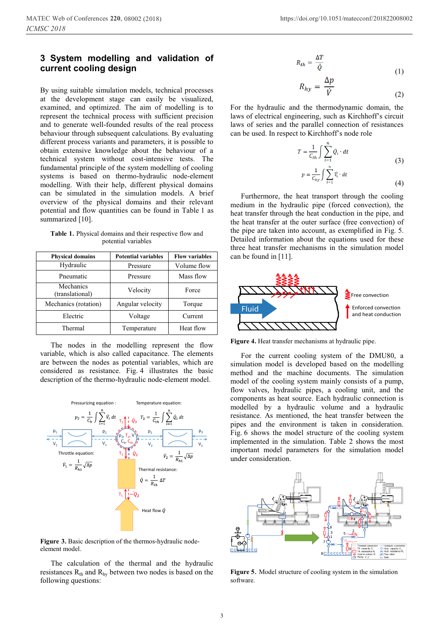# **3 System modelling and validation of current cooling design**

By using suitable simulation models, technical processes at the development stage can easily be visualized, examined, and optimized. The aim of modelling is to represent the technical process with sufficient precision and to generate well-founded results of the real process behaviour through subsequent calculations. By evaluating different process variants and parameters, it is possible to obtain extensive knowledge about the behaviour of a technical system without cost-intensive tests. The fundamental principle of the system modelling of cooling systems is based on thermo-hydraulic node-element modelling. With their help, different physical domains can be simulated in the simulation models. A brief overview of the physical domains and their relevant potential and flow quantities can be found in Table 1 as summarized [10].

**Table 1.** Physical domains and their respective flow and potential variables

| <b>Physical domains</b>      | <b>Potential variables</b> | <b>Flow variables</b> |  |
|------------------------------|----------------------------|-----------------------|--|
| Hydraulic                    | Pressure                   | Volume flow           |  |
| Pneumatic                    | Pressure                   | Mass flow             |  |
| Mechanics<br>(translational) | Velocity                   | Force                 |  |
| Mechanics (rotation)         | Angular velocity<br>Torque |                       |  |
| Electric                     | Voltage<br>Current         |                       |  |
| Thermal                      | Temperature                | Heat flow             |  |

The nodes in the modelling represent the flow variable, which is also called capacitance. The elements are between the nodes as potential variables, which are considered as resistance. Fig. 4 illustrates the basic description of the thermo-hydraulic node-element model.



Figure 3. Basic description of the thermos-hydraulic nodeelement model.

The calculation of the thermal and the hydraulic resistances  $R_{th}$  and  $R_{hy}$  between two nodes is based on the following questions:

$$
R_{th} = \frac{\Delta T}{\dot{Q}} \tag{1}
$$

$$
R_{hy} = \frac{\Delta p}{\dot{V}} \tag{2}
$$

For the hydraulic and the thermodynamic domain, the laws of electrical engineering, such as Kirchhoff's circuit laws of series and the parallel connection of resistances can be used. In respect to Kirchhoff's node role

$$
T = \frac{1}{C_{th}} \int \sum_{i=1}^{n} \dot{Q}_i \cdot dt
$$
  
\n
$$
p = \frac{1}{C_{hv}} \int \sum_{i=1}^{n} \dot{V}_i \cdot dt
$$
\n(3)

$$
\int \int \frac{V_t \cdot dt}{t=1}
$$
 (4)

Furthermore, the heat transport through the cooling medium in the hydraulic pipe (forced convection), the heat transfer through the heat conduction in the pipe, and the heat transfer at the outer surface (free convection) of the pipe are taken into account, as exemplified in Fig. 5. Detailed information about the equations used for these three heat transfer mechanisms in the simulation model can be found in [11].



**Figure 4.** Heat transfer mechanisms at hydraulic pipe.

For the current cooling system of the DMU80, a simulation model is developed based on the modelling method and the machine documents. The simulation model of the cooling system mainly consists of a pump, flow valves, hydraulic pipes, a cooling unit, and the components as heat source. Each hydraulic connection is modelled by a hydraulic volume and a hydraulic resistance. As mentioned, the heat transfer between the pipes and the environment is taken in consideration. Fig. 6 shows the model structure of the cooling system implemented in the simulation. Table 2 shows the most important model parameters for the simulation model under consideration.



**Figure 5**. Model structure of cooling system in the simulation software.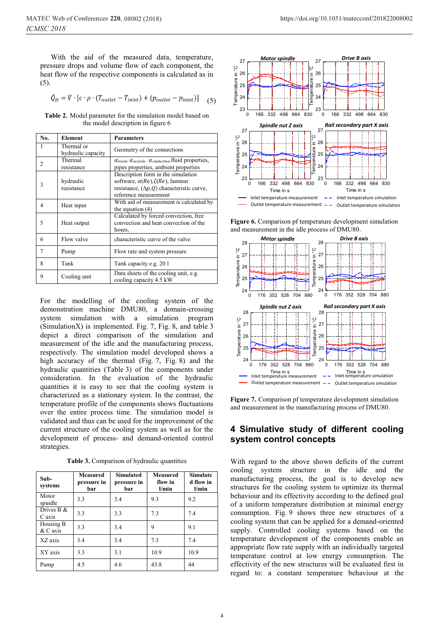With the aid of the measured data, temperature, pressure drops and volume flow of each component, the heat flow of the respective components is calculated as in (5).

$$
\dot{Q}_H = \dot{V} \cdot [c \cdot \rho \cdot (T_{outlet} - T_{inlet}) + (p_{outlet} - p_{inlet})]
$$
 (5)

**Table 2.** Model parameter for the simulation model based on the model description in figure 6

| No.                      | <b>Element</b>                   | <b>Parameters</b>                                                                                                                                                  |  |
|--------------------------|----------------------------------|--------------------------------------------------------------------------------------------------------------------------------------------------------------------|--|
| 1                        | Thermal or<br>hydraulic capacity | Geometry of the connections                                                                                                                                        |  |
| $\overline{c}$           | Thermal<br>resistance            | $\alpha$ inside $\alpha$ outside. $\alpha$ conduction fluid properties,<br>pipes properties, ambient properties                                                    |  |
| 3                        | hydraulic<br>resistance          | Description form in the simulation<br>software, $\alpha(Re)$ , $\zeta(Re)$ , laminar<br>resistance, $(\Delta p, Q)$ characteristic curve,<br>reference measurement |  |
| 4                        | Heat input                       | With aid of measurement is calculated by<br>the equation $(4)$                                                                                                     |  |
| $\overline{\phantom{0}}$ | Heat output                      | Calculated by forced convection, free<br>convection and heat convection of the<br>hoses,                                                                           |  |
| 6                        | Flow valve                       | characteristic curve of the valve                                                                                                                                  |  |
| 7                        | Pump                             | Flow rate and system pressure                                                                                                                                      |  |
| 8                        | Tank                             | Tank capacity e.g. 20 1                                                                                                                                            |  |
| 9                        | Cooling unit                     | Data sheets of the cooling unit, e.g.<br>cooling capacity 4.5 kW                                                                                                   |  |

For the modelling of the cooling system of the demonstration machine DMU80, a domain-crossing system simulation with a simulation program (SimulationX) is implemented. Fig. 7, Fig. 8, and table 3 depict a direct comparison of the simulation and measurement of the idle and the manufacturing process, respectively. The simulation model developed shows a high accuracy of the thermal (Fig. 7, Fig. 8) and the hydraulic quantities (Table 3) of the components under consideration. In the evaluation of the hydraulic quantities it is easy to see that the cooling system is characterized as a stationary system. In the contrast, the temperature profile of the components shows fluctuations over the entire process time. The simulation model is validated and thus can be used for the improvement of the current structure of the cooling system as well as for the development of process- and demand-oriented control strategies.

**Table 3.** Comparison of hydraulic quantities

| $Sub-$<br>systems     | Measured<br>pressure in<br>bar | <b>Simulated</b><br>pressure in<br>bar | <b>Measured</b><br>flow in<br>l/min | <b>Simulate</b><br>d flow in<br>l/min |
|-----------------------|--------------------------------|----------------------------------------|-------------------------------------|---------------------------------------|
| Motor<br>spindle      | 3.3                            | 3.4                                    | 9.3                                 | 9.2                                   |
| Drives B &<br>C axis  | 3.3                            | 3.3                                    | 7.3                                 | 7.4                                   |
| Housing B<br>& C axis | 3.3                            | 3.4                                    | 9                                   | 9.1                                   |
| XZ axis               | 3.4                            | 3.4                                    | 7.3                                 | 7.4                                   |
| XY axis               | 3.3                            | 3.1                                    | 10.9                                | 10.9                                  |
| Pump                  | 4.5                            | 4.6                                    | 43.8                                | 44                                    |



**Figure 6.** Comparison pf temperature development simulation and measurement in the idle process of DMU80.



**Figure 7.** Comparison pf temperature development simulation and measurement in the manufacturing process of DMU80.

### **4 Simulative study of different cooling system control concepts**

With regard to the above shown deficits of the current cooling system structure in the idle and the manufacturing process, the goal is to develop new structures for the cooling system to optimize its thermal behaviour and its effectivity according to the defined goal of a uniform temperature distribution at minimal energy consumption. Fig. 9 shows three new structures of a cooling system that can be applied for a demand-oriented supply. Controlled cooling systems based on the temperature development of the components enable an appropriate flow rate supply with an individually targeted temperature control at low energy consumption. The effectivity of the new structures will be evaluated first in regard to: a constant temperature behaviour at the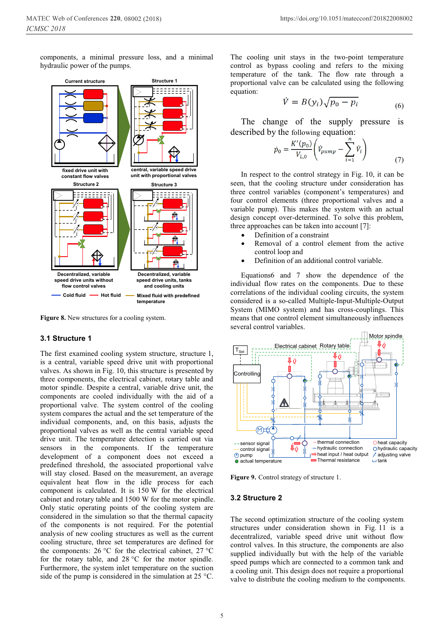components, a minimal pressure loss, and a minimal hydraulic power of the pumps.



**Figure 8.** New structures for a cooling system.

#### **3.1 Structure 1**

The first examined cooling system structure, structure 1, is a central, variable speed drive unit with proportional valves. As shown in Fig. 10, this structure is presented by three components, the electrical cabinet, rotary table and motor spindle. Despite a central, variable drive unit, the components are cooled individually with the aid of a proportional valve. The system control of the cooling system compares the actual and the set temperature of the individual components, and, on this basis, adjusts the proportional valves as well as the central variable speed drive unit. The temperature detection is carried out via sensors in the components. If the temperature development of a component does not exceed a predefined threshold, the associated proportional valve will stay closed. Based on the measurement, an average equivalent heat flow in the idle process for each component is calculated. It is 150 W for the electrical cabinet and rotary table and 1500 W for the motor spindle. Only static operating points of the cooling system are considered in the simulation so that the thermal capacity of the components is not required. For the potential analysis of new cooling structures as well as the current cooling structure, three set temperatures are defined for the components: 26 °C for the electrical cabinet, 27 °C for the rotary table, and 28 °C for the motor spindle. Furthermore, the system inlet temperature on the suction side of the pump is considered in the simulation at 25 °C.

The cooling unit stays in the two-point temperature control as bypass cooling and refers to the mixing temperature of the tank. The flow rate through a proportional valve can be calculated using the following equation:

$$
\dot{V} = B(y_i)\sqrt{p_0 - p_i} \tag{6}
$$

The change of the supply pressure is described by the following equation:

$$
\dot{p}_0 = \frac{K'(p_0)}{V_{L,0}} \left( \dot{V}_{pump} - \sum_{i=1}^{N} \dot{V}_i \right)
$$
\n(7)

In respect to the control strategy in Fig. 10, it can be seen, that the cooling structure under consideration has three control variables (component's temperatures) and four control elements (three proportional valves and a variable pump). This makes the system with an actual design concept over-determined. To solve this problem, three approaches can be taken into account [7]:

- -Definition of a constraint
- - Removal of a control element from the active control loop and
- -Definition of an additional control variable.

Equations6 and 7 show the dependence of the individual flow rates on the components. Due to these correlations of the individual cooling circuits, the system considered is a so-called Multiple-Input-Multiple-Output System (MIMO system) and has cross-couplings. This means that one control element simultaneously influences several control variables.



**Figure 9.** Control strategy of structure 1.

#### **3.2 Structure 2**

The second optimization structure of the cooling system structures under consideration shown in Fig. 11 is a decentralized, variable speed drive unit without flow control valves. In this structure, the components are also supplied individually but with the help of the variable speed pumps which are connected to a common tank and a cooling unit. This design does not require a proportional valve to distribute the cooling medium to the components.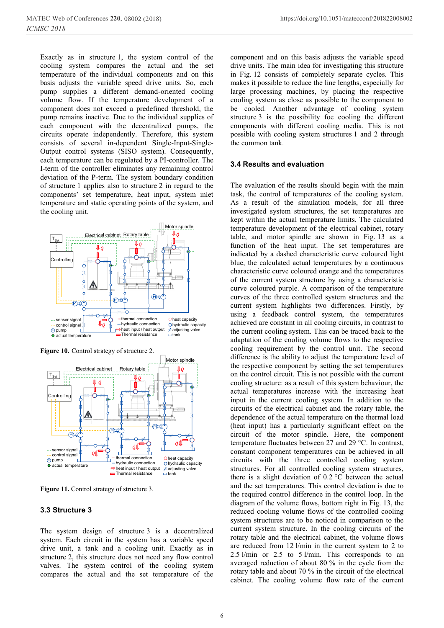Exactly as in structure 1, the system control of the cooling system compares the actual and the set temperature of the individual components and on this basis adjusts the variable speed drive units. So, each pump supplies a different demand-oriented cooling volume flow. If the temperature development of a component does not exceed a predefined threshold, the pump remains inactive. Due to the individual supplies of each component with the decentralized pumps, the circuits operate independently. Therefore, this system consists of several in-dependent Single-Input-Single-Output control systems (SISO system). Consequently, each temperature can be regulated by a PI-controller. The I-term of the controller eliminates any remaining control deviation of the P-term. The system boundary condition of structure 1 applies also to structure 2 in regard to the components' set temperature, heat input, system inlet temperature and static operating points of the system, and the cooling unit.



**Figure 10.** Control strategy of structure 2.



Figure 11. Control strategy of structure 3.

### **3.3 Structure 3**

The system design of structure 3 is a decentralized system. Each circuit in the system has a variable speed drive unit, a tank and a cooling unit. Exactly as in structure 2, this structure does not need any flow control valves. The system control of the cooling system compares the actual and the set temperature of the

component and on this basis adjusts the variable speed drive units. The main idea for investigating this structure in Fig. 12 consists of completely separate cycles. This makes it possible to reduce the line lengths, especially for large processing machines, by placing the respective cooling system as close as possible to the component to be cooled. Another advantage of cooling system structure 3 is the possibility foe cooling the different components with different cooling media. This is not possible with cooling system structures 1 and 2 through the common tank.

#### **3.4 Results and evaluation**

The evaluation of the results should begin with the main task, the control of temperatures of the cooling system. As a result of the simulation models, for all three investigated system structures, the set temperatures are kept within the actual temperature limits. The calculated temperature development of the electrical cabinet, rotary table, and motor spindle are shown in Fig. 13 as a function of the heat input. The set temperatures are indicated by a dashed characteristic curve coloured light blue, the calculated actual temperatures by a continuous characteristic curve coloured orange and the temperatures of the current system structure by using a characteristic curve coloured purple. A comparison of the temperature curves of the three controlled system structures and the current system highlights two differences. Firstly, by using a feedback control system, the temperatures achieved are constant in all cooling circuits, in contrast to the current cooling system. This can be traced back to the adaptation of the cooling volume flows to the respective cooling requirement by the control unit. The second difference is the ability to adjust the temperature level of the respective component by setting the set temperatures on the control circuit. This is not possible with the current cooling structure: as a result of this system behaviour, the actual temperatures increase with the increasing heat input in the current cooling system. In addition to the circuits of the electrical cabinet and the rotary table, the dependence of the actual temperature on the thermal load (heat input) has a particularly significant effect on the circuit of the motor spindle. Here, the component temperature fluctuates between 27 and 29 °C. In contrast, constant component temperatures can be achieved in all circuits with the three controlled cooling system structures. For all controlled cooling system structures, there is a slight deviation of 0.2 °C between the actual and the set temperatures. This control deviation is due to the required control difference in the control loop. In the diagram of the volume flows, bottom right in Fig. 13, the reduced cooling volume flows of the controlled cooling system structures are to be noticed in comparison to the current system structure. In the cooling circuits of the rotary table and the electrical cabinet, the volume flows are reduced from 12 l/min in the current system to 2 to 2.5 l/min or 2.5 to 5 l/min. This corresponds to an averaged reduction of about 80 % in the cycle from the rotary table and about 70 % in the circuit of the electrical cabinet. The cooling volume flow rate of the current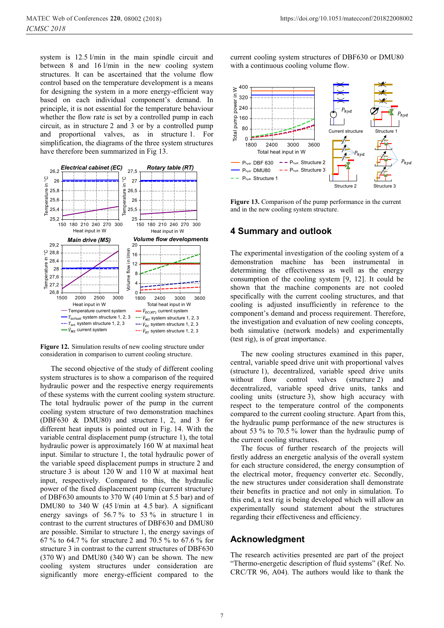system is 12.5 l/min in the main spindle circuit and between 8 and 16 l/min in the new cooling system structures. It can be ascertained that the volume flow control based on the temperature development is a means for designing the system in a more energy-efficient way based on each individual component's demand. In principle, it is not essential for the temperature behaviour whether the flow rate is set by a controlled pump in each circuit, as in structure 2 and 3 or by a controlled pump and proportional valves, as in structure 1. For simplification, the diagrams of the three system structures have therefore been summarized in Fig 13.



**Figure 12.** Simulation results of new cooling structure under consideration in comparison to current cooling structure.

The second objective of the study of different cooling system structures is to show a comparison of the required hydraulic power and the respective energy requirements of these systems with the current cooling system structure. The total hydraulic power of the pump in the current cooling system structure of two demonstration machines (DBF630 & DMU80) and structure 1, 2, and 3 for different heat inputs is pointed out in Fig. 14. With the variable central displacement pump (structure 1), the total hydraulic power is approximately 160 W at maximal heat input. Similar to structure 1, the total hydraulic power of the variable speed displacement pumps in structure 2 and structure 3 is about 120 W and 110 W at maximal heat input, respectively. Compared to this, the hydraulic power of the fixed displacement pump (current structure) of DBF630 amounts to 370 W (40 l/min at 5.5 bar) and of DMU80 to  $340 \text{ W}$  (45 l/min at 4.5 bar). A significant energy savings of 56.7 % to 53 % in structure 1 in contrast to the current structures of DBF630 and DMU80 are possible. Similar to structure 1, the energy savings of 67 % to 64.7 % for structure 2 and 70.5 % to 67.6 % for structure 3 in contrast to the current structures of DBF630 (370 W) and DMU80 (340 W) can be shown. The new cooling system structures under consideration are significantly more energy-efficient compared to the

current cooling system structures of DBF630 or DMU80 with a continuous cooling volume flow.



Figure 13. Comparison of the pump performance in the current and in the new cooling system structure.

### **4 Summary and outlook**

The experimental investigation of the cooling system of a demonstration machine has been instrumental in determining the effectiveness as well as the energy consumption of the cooling system [9, 12]. It could be shown that the machine components are not cooled specifically with the current cooling structures, and that cooling is adjusted insufficiently in reference to the component's demand and process requirement. Therefore, the investigation and evaluation of new cooling concepts, both simulative (network models) and experimentally (test rig), is of great importance.

The new cooling structures examined in this paper, central, variable speed drive unit with proportional valves (structure 1), decentralized, variable speed drive units without flow control valves (structure 2) and decentralized, variable speed drive units, tanks and cooling units (structure 3), show high accuracy with respect to the temperature control of the components compared to the current cooling structure. Apart from this, the hydraulic pump performance of the new structures is about 53 % to 70.5 % lower than the hydraulic pump of the current cooling structures.

The focus of further research of the projects will firstly address an energetic analysis of the overall system for each structure considered, the energy consumption of the electrical motor, frequency converter etc. Secondly, the new structures under consideration shall demonstrate their benefits in practice and not only in simulation. To this end, a test rig is being developed which will allow an experimentally sound statement about the structures regarding their effectiveness and efficiency.

### **Acknowledgment**

The research activities presented are part of the project "Thermo-energetic description of fluid systems" (Ref. No. CRC/TR 96, A04). The authors would like to thank the